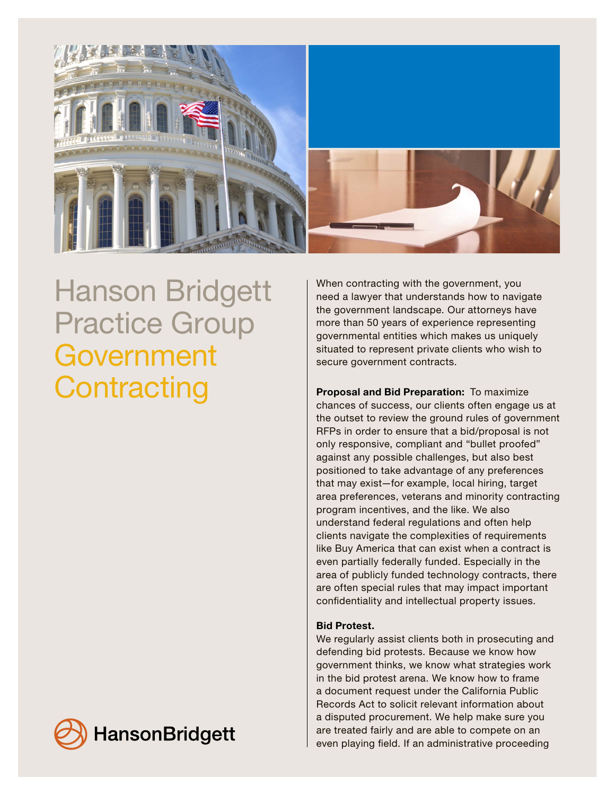

Hanson Bridgett Practice Group Government **Contracting** 

**HansonBridgett** 

When contracting with the government, you need a lawyer that understands how to navigate the government landscape. Our attorneys have more than 50 years of experience representing governmental entities which makes us uniquely situated to represent private clients who wish to secure government contracts.

Proposal and Bid Preparation: To maximize chances of success, our clients often engage us at the outset to review the ground rules of government RFPs in order to ensure that a bid/proposal is not only responsive, compliant and "bullet proofed" against any possible challenges, but also best positioned to take advantage of any preferences that may exist—for example, local hiring, target area preferences, veterans and minority contracting program incentives, and the like. We also understand federal regulations and often help clients navigate the complexities of requirements like Buy America that can exist when a contract is even partially federally funded. Especially in the area of publicly funded technology contracts, there are often special rules that may impact important confidentiality and intellectual property issues.

## Bid Protest.

We regularly assist clients both in prosecuting and defending bid protests. Because we know how government thinks, we know what strategies work in the bid protest arena. We know how to frame a document request under the California Public Records Act to solicit relevant information about a disputed procurement. We help make sure you are treated fairly and are able to compete on an even playing field. If an administrative proceeding